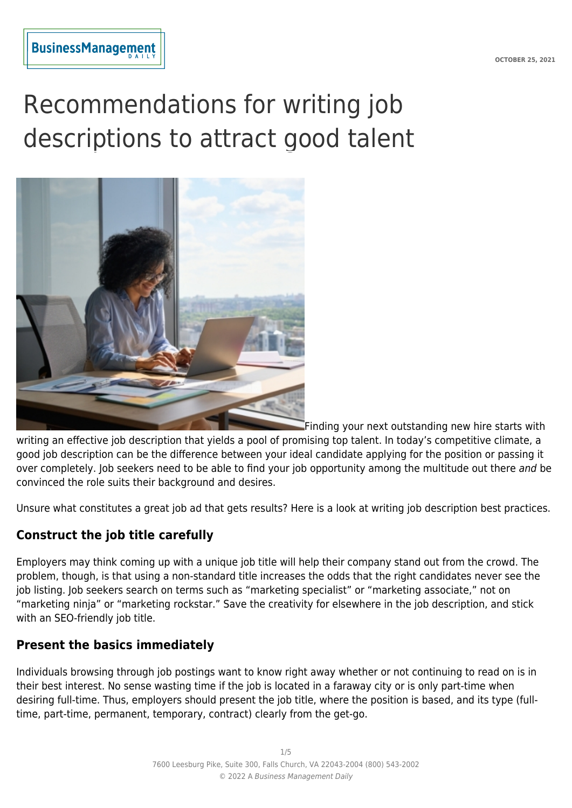# Recommendations for writing job descriptions to attract good talent



Finding your next outstanding new hire starts with

writing an effective job description that yields a pool of promising top talent. In today's competitive climate, a good job description can be the difference between your ideal candidate applying for the position or passing it over completely. Iob seekers need to be able to find your job opportunity among the multitude out there and be convinced the role suits their background and desires.

Unsure what constitutes a great job ad that gets results? Here is a look at writing job description best practices.

# **Construct the job title carefully**

Employers may think coming up with a unique job title will help their company stand out from the crowd. The problem, though, is that using a non-standard title increases the odds that the right candidates never see the job listing. Job seekers search on terms such as "marketing specialist" or "marketing associate," not on "marketing ninja" or "marketing rockstar." Save the creativity for elsewhere in the job description, and stick with an SEO-friendly job title.

## **Present the basics immediately**

Individuals browsing through job postings want to know right away whether or not continuing to read on is in their best interest. No sense wasting time if the job is located in a faraway city or is only part-time when desiring full-time. Thus, employers should present the job title, where the position is based, and its type (fulltime, part-time, permanent, temporary, contract) clearly from the get-go.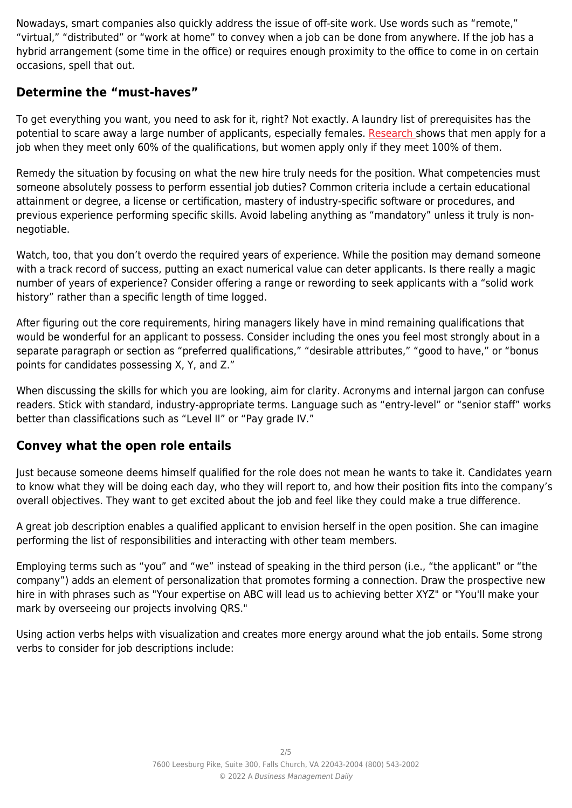Nowadays, smart companies also quickly address the issue of off-site work. Use words such as "remote," "virtual," "distributed" or "work at home" to convey when a job can be done from anywhere. If the job has a hybrid arrangement (some time in the office) or requires enough proximity to the office to come in on certain occasions, spell that out.

## **Determine the "must-haves"**

To get everything you want, you need to ask for it, right? Not exactly. A laundry list of prerequisites has the potential to scare away a large number of applicants, especially females. [Research s](https://www.linkedin.com/pulse/men-apply-job-when-meet-only-60-qualifications-women-100-mei-ibrahim/)hows that men apply for a job when they meet only 60% of the qualifications, but women apply only if they meet 100% of them.

Remedy the situation by focusing on what the new hire truly needs for the position. What competencies must someone absolutely possess to perform essential job duties? Common criteria include a certain educational attainment or degree, a license or certification, mastery of industry-specific software or procedures, and previous experience performing specific skills. Avoid labeling anything as "mandatory" unless it truly is nonnegotiable.

Watch, too, that you don't overdo the required years of experience. While the position may demand someone with a track record of success, putting an exact numerical value can deter applicants. Is there really a magic number of years of experience? Consider offering a range or rewording to seek applicants with a "solid work history" rather than a specific length of time logged.

After figuring out the core requirements, hiring managers likely have in mind remaining qualifications that would be wonderful for an applicant to possess. Consider including the ones you feel most strongly about in a separate paragraph or section as "preferred qualifications," "desirable attributes," "good to have," or "bonus points for candidates possessing X, Y, and Z."

When discussing the skills for which you are looking, aim for clarity. Acronyms and internal jargon can confuse readers. Stick with standard, industry-appropriate terms. Language such as "entry-level" or "senior staff" works better than classifications such as "Level II" or "Pay grade IV."

## **Convey what the open role entails**

Just because someone deems himself qualified for the role does not mean he wants to take it. Candidates yearn to know what they will be doing each day, who they will report to, and how their position fits into the company's overall objectives. They want to get excited about the job and feel like they could make a true difference.

A great job description enables a qualified applicant to envision herself in the open position. She can imagine performing the list of responsibilities and interacting with other team members.

Employing terms such as "you" and "we" instead of speaking in the third person (i.e., "the applicant" or "the company") adds an element of personalization that promotes forming a connection. Draw the prospective new hire in with phrases such as "Your expertise on ABC will lead us to achieving better XYZ" or "You'll make your mark by overseeing our projects involving QRS."

Using action verbs helps with visualization and creates more energy around what the job entails. Some strong verbs to consider for job descriptions include: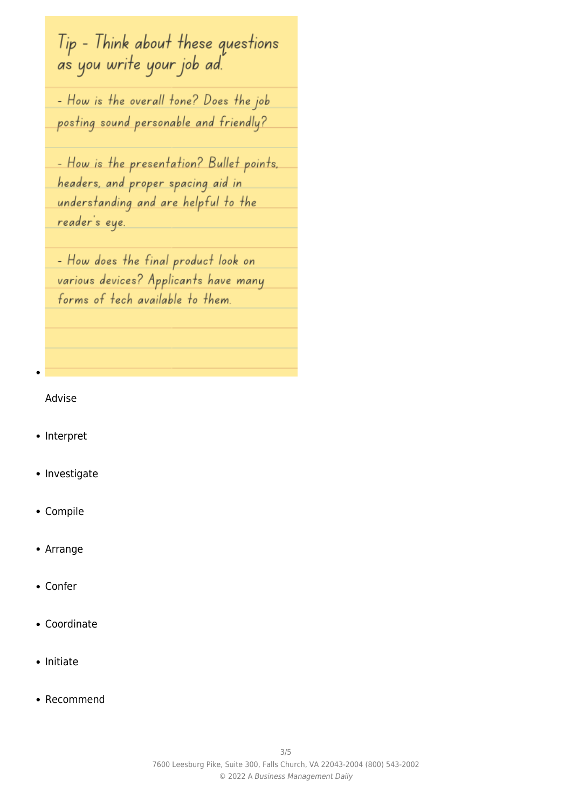Tip - Think about these questions a's you write your job ad.

- How is the overall tone? Does the job posting sound personable and friendly?

- How is the presentation? Bullet points. headers, and proper spacing aid in understanding and are helpful to the reader's eye

- How does the final product look on various devices? Applicants have many forms of tech available to them.

#### Advise

- Interpret
- Investigate
- Compile
- Arrange
- Confer
- Coordinate
- Initiate
- Recommend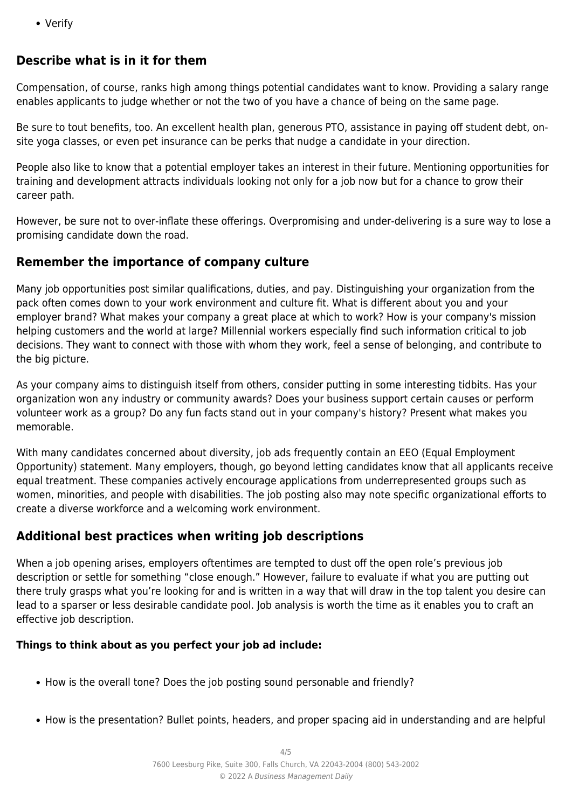Verify

# **Describe what is in it for them**

Compensation, of course, ranks high among things potential candidates want to know. Providing a salary range enables applicants to judge whether or not the two of you have a chance of being on the same page.

Be sure to tout benefits, too. An excellent health plan, generous PTO, assistance in paying off student debt, onsite yoga classes, or even pet insurance can be perks that nudge a candidate in your direction.

People also like to know that a potential employer takes an interest in their future. Mentioning opportunities for training and development attracts individuals looking not only for a job now but for a chance to grow their career path.

However, be sure not to over-inflate these offerings. Overpromising and under-delivering is a sure way to lose a promising candidate down the road.

# **Remember the importance of company culture**

Many job opportunities post similar qualifications, duties, and pay. Distinguishing your organization from the pack often comes down to your work environment and culture fit. What is different about you and your employer brand? What makes your company a great place at which to work? How is your company's mission helping customers and the world at large? Millennial workers especially find such information critical to job decisions. They want to connect with those with whom they work, feel a sense of belonging, and contribute to the big picture.

As your company aims to distinguish itself from others, consider putting in some interesting tidbits. Has your organization won any industry or community awards? Does your business support certain causes or perform volunteer work as a group? Do any fun facts stand out in your company's history? Present what makes you memorable.

With many candidates concerned about diversity, job ads frequently contain an EEO (Equal Employment Opportunity) statement. Many employers, though, go beyond letting candidates know that all applicants receive equal treatment. These companies actively encourage applications from underrepresented groups such as women, minorities, and people with disabilities. The job posting also may note specific organizational efforts to create a diverse workforce and a welcoming work environment.

# **Additional best practices when writing job descriptions**

When a job opening arises, employers oftentimes are tempted to dust off the open role's previous job description or settle for something "close enough." However, failure to evaluate if what you are putting out there truly grasps what you're looking for and is written in a way that will draw in the top talent you desire can lead to a sparser or less desirable candidate pool. Job analysis is worth the time as it enables you to craft an effective job description.

# **Things to think about as you perfect your job ad include:**

- How is the overall tone? Does the job posting sound personable and friendly?
- How is the presentation? Bullet points, headers, and proper spacing aid in understanding and are helpful